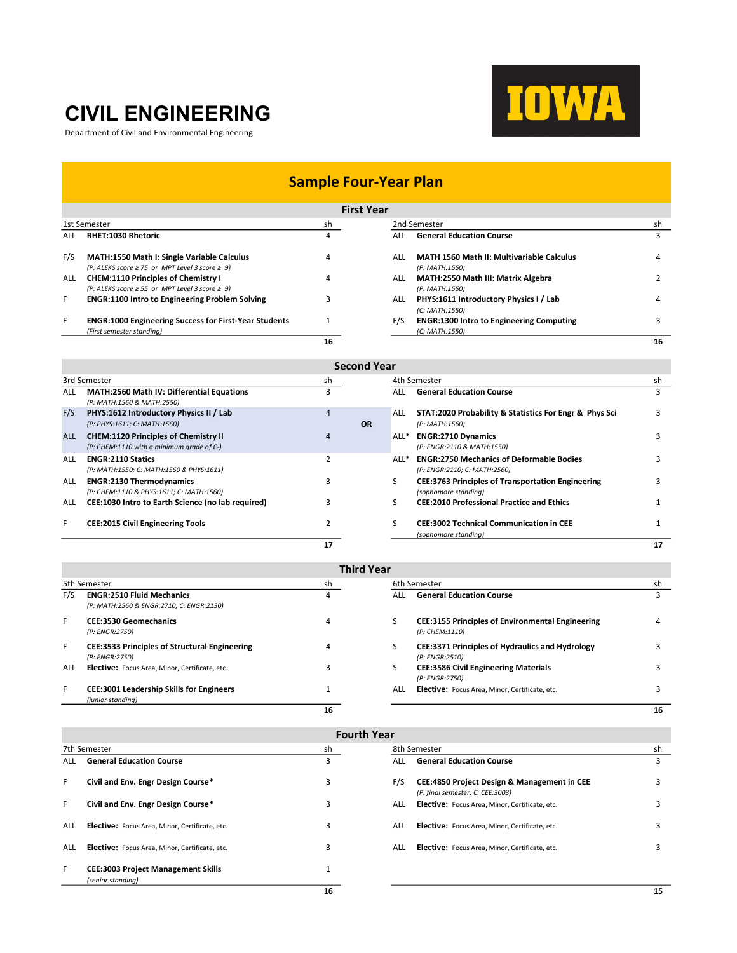## CIVIL ENGINEERING

Department of Civil and Environmental Engineering



### Sample Four-Year Plan

| <b>First Year</b> |                                                                                                              |    |                                                                           |    |  |  |  |
|-------------------|--------------------------------------------------------------------------------------------------------------|----|---------------------------------------------------------------------------|----|--|--|--|
| 1st Semester      |                                                                                                              | sh | 2nd Semester                                                              | sh |  |  |  |
| ALL               | <b>RHET:1030 Rhetoric</b>                                                                                    | 4  | <b>General Education Course</b><br>ALL                                    |    |  |  |  |
| F/S               | <b>MATH:1550 Math I: Single Variable Calculus</b><br>$(P: ALEKS score \ge 75$ or MPT Level 3 score $\ge 9$ ) | 4  | <b>MATH 1560 Math II: Multivariable Calculus</b><br>ALL<br>(P: MATH:1550) | 4  |  |  |  |
| ALL               | <b>CHEM:1110 Principles of Chemistry I</b><br>$(P: ALEKS score \ge 55$ or MPT Level 3 score $\ge 9$ )        | 4  | MATH:2550 Math III: Matrix Algebra<br>ALL<br>(P: MATH:1550)               |    |  |  |  |
| F                 | <b>ENGR:1100 Intro to Engineering Problem Solving</b>                                                        |    | PHYS:1611 Introductory Physics I / Lab<br>ALL<br>(C: MATH:1550)           | 4  |  |  |  |
| F                 | <b>ENGR:1000 Engineering Success for First-Year Students</b><br>(First semester standing)                    |    | F/S<br><b>ENGR:1300 Intro to Engineering Computing</b><br>(C: MATH:1550)  |    |  |  |  |
|                   |                                                                                                              | 16 |                                                                           | 16 |  |  |  |

| <b>Second Year</b> |                                                                                          |    |              |      |                                                                                  |    |  |  |
|--------------------|------------------------------------------------------------------------------------------|----|--------------|------|----------------------------------------------------------------------------------|----|--|--|
| 3rd Semester       |                                                                                          | sh | 4th Semester |      |                                                                                  | sh |  |  |
| ALL                | MATH:2560 Math IV: Differential Equations<br>(P: MATH:1560 & MATH:2550)                  |    |              | ALL  | <b>General Education Course</b>                                                  |    |  |  |
| F/S                | PHYS:1612 Introductory Physics II / Lab<br>(P: PHYS:1611; C: MATH:1560)                  | 4  | <b>OR</b>    | ALL  | STAT:2020 Probability & Statistics For Engr & Phys Sci<br>(P: MATH:1560)         |    |  |  |
| <b>ALL</b>         | <b>CHEM:1120 Principles of Chemistry II</b><br>(P: CHEM:1110 with a minimum grade of C-) | 4  |              | ALL* | <b>ENGR:2710 Dynamics</b><br>(P: ENGR:2110 & MATH:1550)                          |    |  |  |
| ALL                | <b>ENGR:2110 Statics</b><br>(P: MATH:1550; C: MATH:1560 & PHYS:1611)                     |    |              | ALL* | <b>ENGR:2750 Mechanics of Deformable Bodies</b><br>(P: ENGR:2110; C: MATH:2560)  |    |  |  |
| <b>ALL</b>         | <b>ENGR:2130 Thermodynamics</b><br>(P: CHEM:1110 & PHYS:1611; C: MATH:1560)              |    |              |      | <b>CEE:3763 Principles of Transportation Engineering</b><br>(sophomore standing) |    |  |  |
| <b>ALL</b>         | <b>CEE:1030 Intro to Earth Science (no lab required)</b>                                 |    |              |      | <b>CEE:2010 Professional Practice and Ethics</b>                                 |    |  |  |
| F                  | <b>CEE:2015 Civil Engineering Tools</b>                                                  |    |              |      | <b>CEE:3002 Technical Communication in CEE</b><br>(sophomore standing)           |    |  |  |
|                    |                                                                                          | 17 |              |      |                                                                                  | 17 |  |  |

|              | <b>Third Year</b>                                                            |                |            |                                                                           |    |  |  |  |
|--------------|------------------------------------------------------------------------------|----------------|------------|---------------------------------------------------------------------------|----|--|--|--|
| 5th Semester |                                                                              | sh             |            | 6th Semester                                                              |    |  |  |  |
| F/S          | <b>ENGR:2510 Fluid Mechanics</b><br>(P: MATH:2560 & ENGR:2710; C: ENGR:2130) | 4              | ALL        | <b>General Education Course</b>                                           |    |  |  |  |
| F            | <b>CEE:3530 Geomechanics</b><br>(P: ENGR:2750)                               | 4              | S          | <b>CEE:3155 Principles of Environmental Engineering</b><br>(P: CHEM:1110) | 4  |  |  |  |
| F            | <b>CEE:3533 Principles of Structural Engineering</b><br>(P: ENGR:2750)       | $\overline{a}$ |            | CEE:3371 Principles of Hydraulics and Hydrology<br>(P: ENGR:2510)         |    |  |  |  |
| ALL          | <b>Elective:</b> Focus Area, Minor, Certificate, etc.                        |                |            | <b>CEE:3586 Civil Engineering Materials</b><br>(P: ENGR:2750)             |    |  |  |  |
| F            | <b>CEE:3001 Leadership Skills for Engineers</b><br>(junior standing)         |                | <b>ALL</b> | Elective: Focus Area, Minor, Certificate, etc.                            |    |  |  |  |
|              |                                                                              | 16             |            |                                                                           | 16 |  |  |  |

| <b>Fourth Year</b> |                                                                |    |              |                                                                                            |    |  |
|--------------------|----------------------------------------------------------------|----|--------------|--------------------------------------------------------------------------------------------|----|--|
| 7th Semester       |                                                                | sh | 8th Semester |                                                                                            | sh |  |
| ALL.               | <b>General Education Course</b>                                | 3  | <b>ALL</b>   | <b>General Education Course</b>                                                            | 3  |  |
| F.                 | Civil and Env. Engr Design Course*                             | 3  | F/S          | <b>CEE:4850 Project Design &amp; Management in CEE</b><br>(P: final semester; C: CEE:3003) | 3  |  |
| F.                 | Civil and Env. Engr Design Course*                             | 3  | ALL          | Elective: Focus Area, Minor, Certificate, etc.                                             | 3  |  |
| ALL                | Elective: Focus Area, Minor, Certificate, etc.                 | 3  | ALL          | <b>Elective:</b> Focus Area, Minor, Certificate, etc.                                      | 3  |  |
| ALL                | Elective: Focus Area, Minor, Certificate, etc.                 | 3  | ALL          | Elective: Focus Area, Minor, Certificate, etc.                                             | 3  |  |
| F.                 | <b>CEE:3003 Project Management Skills</b><br>(senior standing) |    |              |                                                                                            |    |  |
|                    |                                                                | 16 |              |                                                                                            | 15 |  |